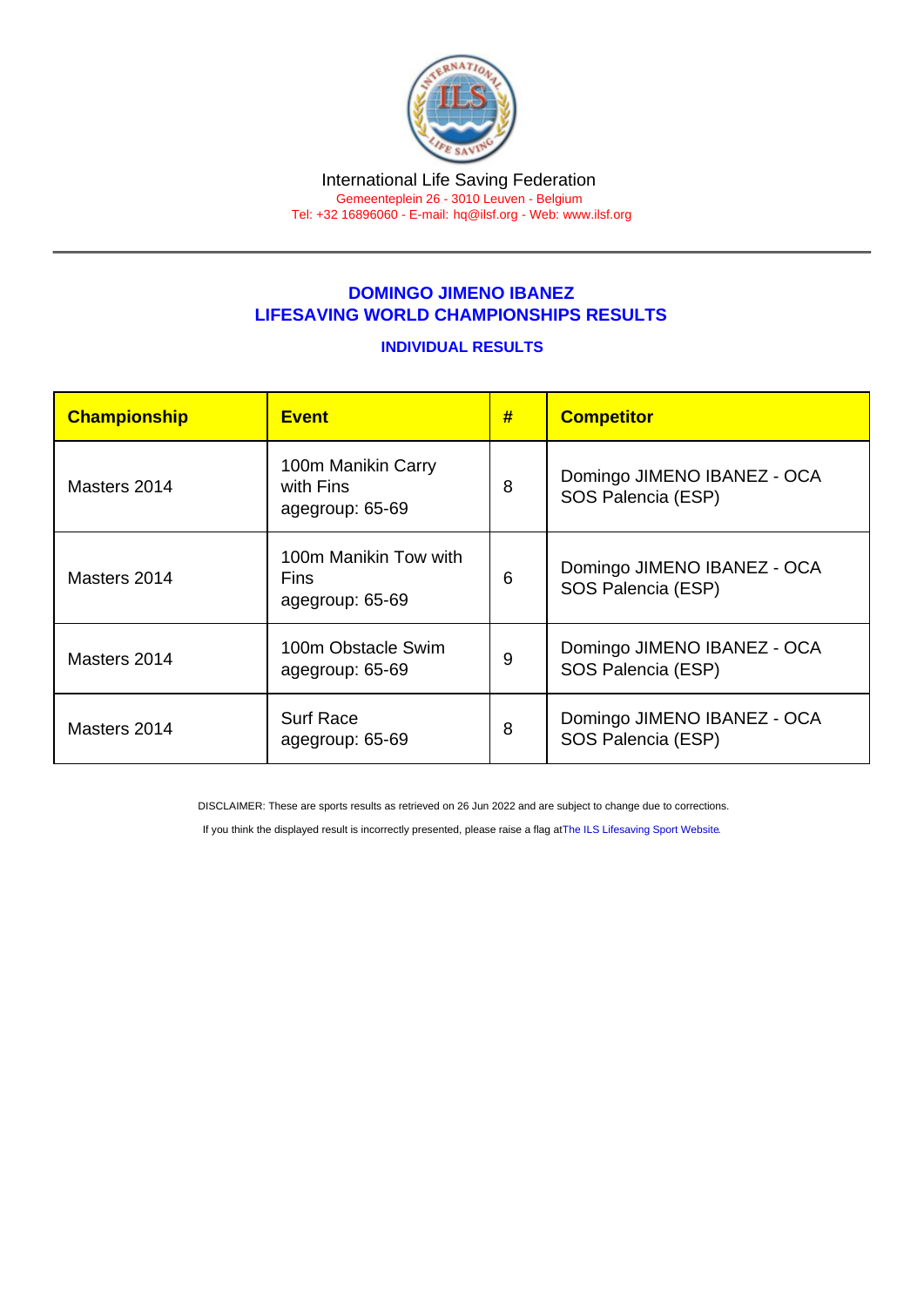## DOMINGO JIMENO IBANEZ LIFESAVING WORLD CHAMPIONSHIPS RESULTS

## INDIVIDUAL RESULTS

| Championship | <b>Event</b>                                            | # | <b>Competitor</b>                                 |
|--------------|---------------------------------------------------------|---|---------------------------------------------------|
| Masters 2014 | 100m Manikin Carry<br>with Fins<br>agegroup: 65-69      | 8 | Domingo JIMENO IBANEZ - OCA<br>SOS Palencia (ESP) |
| Masters 2014 | 100m Manikin Tow with<br><b>Fins</b><br>agegroup: 65-69 | 6 | Domingo JIMENO IBANEZ - OCA<br>SOS Palencia (ESP) |
| Masters 2014 | 100m Obstacle Swim<br>agegroup: 65-69                   | 9 | Domingo JIMENO IBANEZ - OCA<br>SOS Palencia (ESP) |
| Masters 2014 | <b>Surf Race</b><br>agegroup: 65-69                     | 8 | Domingo JIMENO IBANEZ - OCA<br>SOS Palencia (ESP) |

DISCLAIMER: These are sports results as retrieved on 26 Jun 2022 and are subject to change due to corrections.

If you think the displayed result is incorrectly presented, please raise a flag at [The ILS Lifesaving Sport Website.](https://sport.ilsf.org)